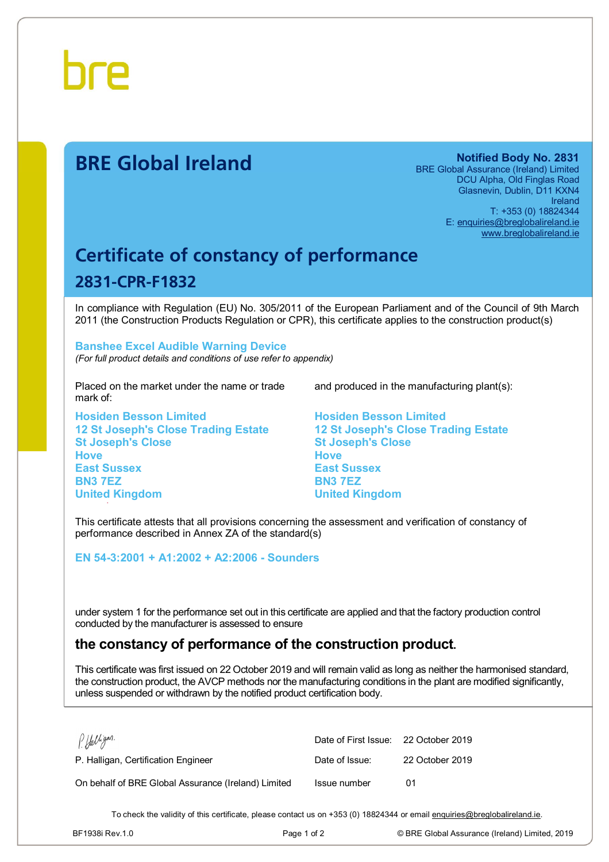

# **BRE Global Ireland Notified Body No. 2831**

BRE Global Assurance (Ireland) Limited DCU Alpha, Old Finglas Road Glasnevin, Dublin, D11 KXN4 Ireland T: +353 (0) 18824344 E: [enquiries@breglobalireland.ie](mailto:enquiries@breglobalireland.ie)  [www.breglobalireland.ie](http://www.breglobalireland.ie)

# **Certificate of constancy of performance 2831-CPR-F1832**

In compliance with Regulation (EU) No. 305/2011 of the European Parliament and of the Council of 9th March 2011 (the Construction Products Regulation or CPR), this certificate applies to the construction product(s)

### **Banshee Excel Audible Warning Device**  *(For full product details and conditions of use refer to appendix)*

Placed on the market under the name or trade mark of:

**Hosiden Besson Limited 12 St Joseph's Close Trading Estate St Joseph's Close Hove East Sussex BN3 7EZ United Kingdom** 

and produced in the manufacturing plant(s):

**Hosiden Besson Limited 12 St Joseph's Close Trading Estate St Joseph's Close Hove East Sussex BN3 7EZ United Kingdom** 

This certificate attests that all provisions concerning the assessment and verification of constancy of performance described in Annex ZA of the standard(s)

**EN 54-3:2001 + A1:2002 + A2:2006 - Sounders** 

under system 1 for the performance set out in this certificate are applied and that the factory production control conducted by the manufacturer is assessed to ensure

# **the constancy of performance of the construction product.**

This certificate was first issued on 22 October 2019 and will remain valid as long as neither the harmonised standard, the construction product, the AVCP methods nor the manufacturing conditions in the plant are modified significantly, unless suspended or withdrawn by the notified product certification body.

| PHalligan.                                          | Date of First Issue: 22 October 2019 |                 |
|-----------------------------------------------------|--------------------------------------|-----------------|
| P. Halligan, Certification Engineer                 | Date of Issue:                       | 22 October 2019 |
| On behalf of BRE Global Assurance (Ireland) Limited | Issue number                         | በ1              |

To check the validity of this certificate, please contact us on +353 (0) 18824344 or email [enquiries@breglobalireland.ie](mailto:enquiries@breglobalireland.ie).